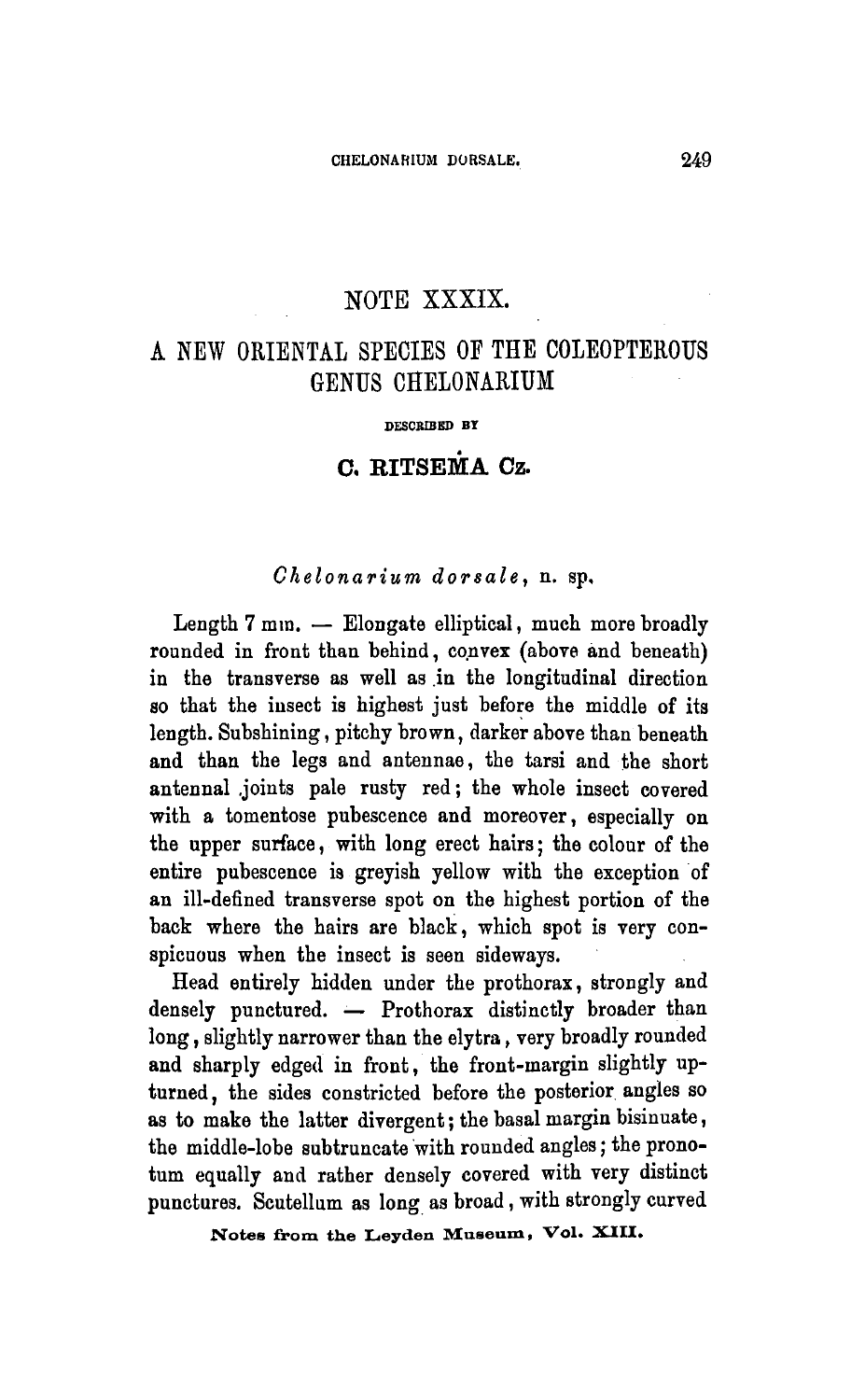## NOTE XXXIX.

## <sup>A</sup> new oriental species of the Coleopterous genus Chelonarium

DESCRIBED BY

## C. RITSEMA Cz.

## Chelonarium dorsale, n. sp.

Length 7 mm. — Elongate elliptical, much more broadly rounded in front than behind, convex (above and beneath) in the transverse as well as in the longitudinal direction so that the insect is highest just before the middle of its length. Subshining, pitchy brown, darker above than beneath and than the legs and antennae, the tarsi and the short antennal joints pale rusty red; the whole insect covered with a tomentose pubescence and moreover, especially on the upper surface, with long erect hairs; the colour of the entire pubescence is greyish yellow with the exception of an ill-defined transverse spot on the highest portion of the back where the hairs are black, which spot is very conspicuous when the insect is seen sideways.

Head entirely hidden under the prothorax, strongly and densely punctured. — Prothorax distinctly broader than long, slightly narrower than the elytra, very broadly rounded and sharply edged in front, the front-margin slightly upturned, the sides constricted before the posterior angles so as to make the latter divergent; the basal margin bisinuate, the middle-lobe subtruncate with rounded angles; the pronotum equally and rather densely covered with very distinct punctures. Scutellum as long as broad, with strongly curved

Notes from the Leyden Museum, Vol.XIII.